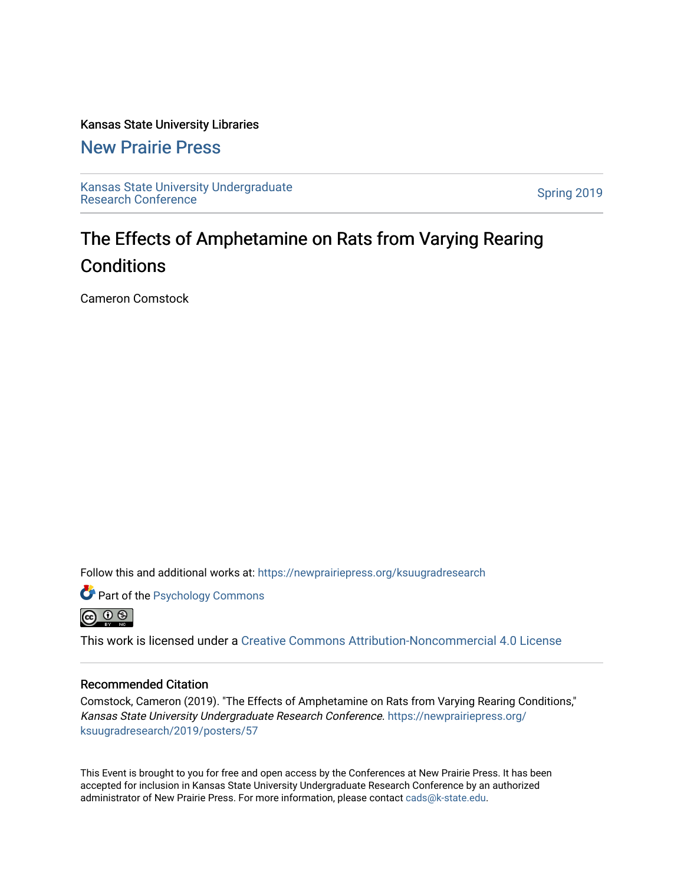# Kansas State University Libraries

# [New Prairie Press](https://newprairiepress.org/)

[Kansas State University Undergraduate](https://newprairiepress.org/ksuugradresearch)  Ransas State University Undergraduate<br>[Research Conference](https://newprairiepress.org/ksuugradresearch)

# The Effects of Amphetamine on Rats from Varying Rearing **Conditions**

Cameron Comstock

Follow this and additional works at: [https://newprairiepress.org/ksuugradresearch](https://newprairiepress.org/ksuugradresearch?utm_source=newprairiepress.org%2Fksuugradresearch%2F2019%2Fposters%2F57&utm_medium=PDF&utm_campaign=PDFCoverPages) 





This work is licensed under a [Creative Commons Attribution-Noncommercial 4.0 License](https://creativecommons.org/licenses/by-nc/4.0/)

## Recommended Citation

Comstock, Cameron (2019). "The Effects of Amphetamine on Rats from Varying Rearing Conditions," Kansas State University Undergraduate Research Conference. [https://newprairiepress.org/](https://newprairiepress.org/ksuugradresearch/2019/posters/57) [ksuugradresearch/2019/posters/57](https://newprairiepress.org/ksuugradresearch/2019/posters/57)

This Event is brought to you for free and open access by the Conferences at New Prairie Press. It has been accepted for inclusion in Kansas State University Undergraduate Research Conference by an authorized administrator of New Prairie Press. For more information, please contact [cads@k-state.edu](mailto:cads@k-state.edu).